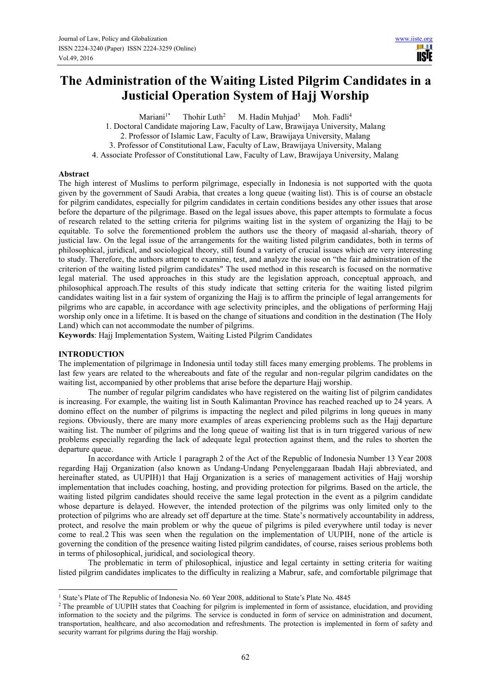**USE** 

# **The Administration of the Waiting Listed Pilgrim Candidates in a Justicial Operation System of Hajj Worship**

Mariani<sup>1\*</sup> Thohir Luth<sup>2</sup> M. Hadin Muhjad<sup>3</sup> Moh. Fadli<sup>4</sup>

1. Doctoral Candidate majoring Law, Faculty of Law, Brawijaya University, Malang

2. Professor of Islamic Law, Faculty of Law, Brawijaya University, Malang

3. Professor of Constitutional Law, Faculty of Law, Brawijaya University, Malang

4. Associate Professor of Constitutional Law, Faculty of Law, Brawijaya University, Malang

#### **Abstract**

The high interest of Muslims to perform pilgrimage, especially in Indonesia is not supported with the quota given by the government of Saudi Arabia, that creates a long queue (waiting list). This is of course an obstacle for pilgrim candidates, especially for pilgrim candidates in certain conditions besides any other issues that arose before the departure of the pilgrimage. Based on the legal issues above, this paper attempts to formulate a focus of research related to the setting criteria for pilgrims waiting list in the system of organizing the Hajj to be equitable. To solve the forementioned problem the authors use the theory of maqasid al-shariah, theory of justicial law. On the legal issue of the arrangements for the waiting listed pilgrim candidates, both in terms of philosophical, juridical, and sociological theory, still found a variety of crucial issues which are very interesting to study. Therefore, the authors attempt to examine, test, and analyze the issue on "the fair administration of the criterion of the waiting listed pilgrim candidates" The used method in this research is focused on the normative legal material. The used approaches in this study are the legislation approach, conceptual approach, and philosophical approach.The results of this study indicate that setting criteria for the waiting listed pilgrim candidates waiting list in a fair system of organizing the Hajj is to affirm the principle of legal arrangements for pilgrims who are capable, in accordance with age selectivity principles, and the obligations of performing Hajj worship only once in a lifetime. It is based on the change of situations and condition in the destination (The Holy Land) which can not accommodate the number of pilgrims.

**Keywords**: Hajj Implementation System, Waiting Listed Pilgrim Candidates

# **INTRODUCTION**

 $\overline{a}$ 

The implementation of pilgrimage in Indonesia until today still faces many emerging problems. The problems in last few years are related to the whereabouts and fate of the regular and non-regular pilgrim candidates on the waiting list, accompanied by other problems that arise before the departure Hajj worship.

The number of regular pilgrim candidates who have registered on the waiting list of pilgrim candidates is increasing. For example, the waiting list in South Kalimantan Province has reached reached up to 24 years. A domino effect on the number of pilgrims is impacting the neglect and piled pilgrims in long queues in many regions. Obviously, there are many more examples of areas experiencing problems such as the Hajj departure waiting list. The number of pilgrims and the long queue of waiting list that is in turn triggered various of new problems especially regarding the lack of adequate legal protection against them, and the rules to shorten the departure queue.

In accordance with Article 1 paragraph 2 of the Act of the Republic of Indonesia Number 13 Year 2008 regarding Hajj Organization (also known as Undang-Undang Penyelenggaraan Ibadah Haji abbreviated, and hereinafter stated, as UUPIH)1 that Hajj Organization is a series of management activities of Hajj worship implementation that includes coaching, hosting, and providing protection for pilgrims. Based on the article, the waiting listed pilgrim candidates should receive the same legal protection in the event as a pilgrim candidate whose departure is delayed. However, the intended protection of the pilgrims was only limited only to the protection of pilgrims who are already set off departure at the time. State's normatively accountability in address, protect, and resolve the main problem or why the queue of pilgrims is piled everywhere until today is never come to real.2 This was seen when the regulation on the implementation of UUPIH, none of the article is governing the condition of the presence waiting listed pilgrim candidates, of course, raises serious problems both in terms of philosophical, juridical, and sociological theory.

The problematic in term of philosophical, injustice and legal certainty in setting criteria for waiting listed pilgrim candidates implicates to the difficulty in realizing a Mabrur, safe, and comfortable pilgrimage that

<sup>1</sup> State's Plate of The Republic of Indonesia No. 60 Year 2008, additional to State's Plate No. 4845

<sup>&</sup>lt;sup>2</sup> The preamble of UUPIH states that Coaching for pilgrim is implemented in form of assistance, elucidation, and providing information to the society and the pilgrims. The service is conducted in form of service on administration and document, transportation, healthcare, and also accomodation and refreshments. The protection is implemented in form of safety and security warrant for pilgrims during the Hajj worship.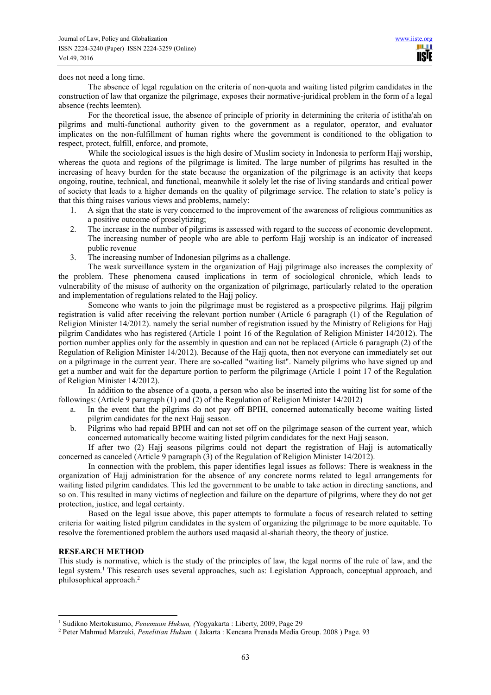does not need a long time.

The absence of legal regulation on the criteria of non-quota and waiting listed pilgrim candidates in the construction of law that organize the pilgrimage, exposes their normative-juridical problem in the form of a legal absence (rechts leemten).

For the theoretical issue, the absence of principle of priority in determining the criteria of istitha'ah on pilgrims and multi-functional authority given to the government as a regulator, operator, and evaluator implicates on the non-fulfillment of human rights where the government is conditioned to the obligation to respect, protect, fulfill, enforce, and promote,

While the sociological issues is the high desire of Muslim society in Indonesia to perform Hajj worship, whereas the quota and regions of the pilgrimage is limited. The large number of pilgrims has resulted in the increasing of heavy burden for the state because the organization of the pilgrimage is an activity that keeps ongoing, routine, technical, and functional, meanwhile it solely let the rise of living standards and critical power of society that leads to a higher demands on the quality of pilgrimage service. The relation to state's policy is that this thing raises various views and problems, namely:

- 1. A sign that the state is very concerned to the improvement of the awareness of religious communities as a positive outcome of proselytizing;
- 2. The increase in the number of pilgrims is assessed with regard to the success of economic development. The increasing number of people who are able to perform Hajj worship is an indicator of increased public revenue
- 3. The increasing number of Indonesian pilgrims as a challenge.

The weak surveillance system in the organization of Hajj pilgrimage also increases the complexity of the problem. These phenomena caused implications in term of sociological chronicle, which leads to vulnerability of the misuse of authority on the organization of pilgrimage, particularly related to the operation and implementation of regulations related to the Hajj policy.

Someone who wants to join the pilgrimage must be registered as a prospective pilgrims. Hajj pilgrim registration is valid after receiving the relevant portion number (Article 6 paragraph (1) of the Regulation of Religion Minister 14/2012). namely the serial number of registration issued by the Ministry of Religions for Hajj pilgrim Candidates who has registered (Article 1 point 16 of the Regulation of Religion Minister 14/2012). The portion number applies only for the assembly in question and can not be replaced (Article 6 paragraph (2) of the Regulation of Religion Minister 14/2012). Because of the Hajj quota, then not everyone can immediately set out on a pilgrimage in the current year. There are so-called "waiting list". Namely pilgrims who have signed up and get a number and wait for the departure portion to perform the pilgrimage (Article 1 point 17 of the Regulation of Religion Minister 14/2012).

In addition to the absence of a quota, a person who also be inserted into the waiting list for some of the followings: (Article 9 paragraph (1) and (2) of the Regulation of Religion Minister 14/2012)

- a. In the event that the pilgrims do not pay off BPIH, concerned automatically become waiting listed pilgrim candidates for the next Hajj season.
- b. Pilgrims who had repaid BPIH and can not set off on the pilgrimage season of the current year, which concerned automatically become waiting listed pilgrim candidates for the next Hajj season.

If after two (2) Hajj seasons pilgrims could not depart the registration of Hajj is automatically concerned as canceled (Article 9 paragraph (3) of the Regulation of Religion Minister 14/2012).

In connection with the problem, this paper identifies legal issues as follows: There is weakness in the organization of Hajj administration for the absence of any concrete norms related to legal arrangements for waiting listed pilgrim candidates. This led the government to be unable to take action in directing sanctions, and so on. This resulted in many victims of neglection and failure on the departure of pilgrims, where they do not get protection, justice, and legal certainty.

Based on the legal issue above, this paper attempts to formulate a focus of research related to setting criteria for waiting listed pilgrim candidates in the system of organizing the pilgrimage to be more equitable. To resolve the forementioned problem the authors used maqasid al-shariah theory, the theory of justice.

#### **RESEARCH METHOD**

 $\overline{a}$ 

This study is normative, which is the study of the principles of law, the legal norms of the rule of law, and the legal system.<sup>1</sup> This research uses several approaches, such as: Legislation Approach, conceptual approach, and philosophical approach.<sup>2</sup>

<sup>1</sup> Sudikno Mertokusumo, *Penemuan Hukum, (*Yogyakarta : Liberty, 2009, Page 29

<sup>2</sup> Peter Mahmud Marzuki, *Penelitian Hukum,* ( Jakarta : Kencana Prenada Media Group. 2008 ) Page. 93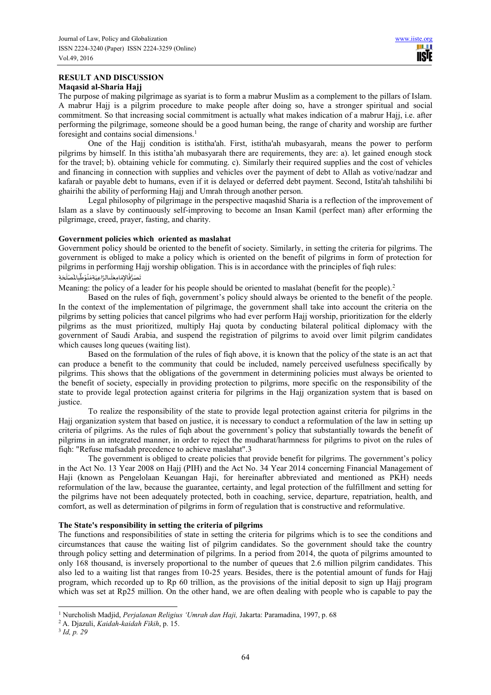# **RESULT AND DISCUSSION Maqasid al-Sharia Hajj**

The purpose of making pilgrimage as syariat is to form a mabrur Muslim as a complement to the pillars of Islam. A mabrur Hajj is a pilgrim procedure to make people after doing so, have a stronger spiritual and social commitment. So that increasing social commitment is actually what makes indication of a mabrur Hajj, i.e. after performing the pilgrimage, someone should be a good human being, the range of charity and worship are further foresight and contains social dimensions.<sup>1</sup>

One of the Hajj condition is istitha'ah. First, istitha'ah mubasyarah, means the power to perform pilgrims by himself. In this istitha'ah mubasyarah there are requirements, they are: a). let gained enough stock for the travel; b). obtaining vehicle for commuting. c). Similarly their required supplies and the cost of vehicles and financing in connection with supplies and vehicles over the payment of debt to Allah as votive/nadzar and kafarah or payable debt to humans, even if it is delayed or deferred debt payment. Second, Istita'ah tahshilihi bi ghairihi the ability of performing Hajj and Umrah through another person.

Legal philosophy of pilgrimage in the perspective maqashid Sharia is a reflection of the improvement of Islam as a slave by continuously self-improving to become an Insan Kamil (perfect man) after erforming the pilgrimage, creed, prayer, fasting, and charity.

#### **Government policies which oriented as maslahat**

Government policy should be oriented to the benefit of society. Similarly, in setting the criteria for pilgrims. The government is obliged to make a policy which is oriented on the benefit of pilgrims in form of protection for pilgrims in performing Hajj worship obligation. This is in accordance with the principles of fiqh rules: سى بِاستى بِاستى بِاستى بِاستى بِالْمِسْلَجَةِ<br>تَصَرُّفُالإِمَامِعَلَىالرَّاعِيَةِمَنُوْطُّبِالْمَمْلَحَةِ َ َ َ ِ ֦֧֦֧<u>֦</u> ُ َ ์<br>. َ َ َ ِ ُ َ

Meaning: the policy of a leader for his people should be oriented to maslahat (benefit for the people).<sup>2</sup>

Based on the rules of fiqh, government's policy should always be oriented to the benefit of the people. In the context of the implementation of pilgrimage, the government shall take into account the criteria on the pilgrims by setting policies that cancel pilgrims who had ever perform Hajj worship, prioritization for the elderly pilgrims as the must prioritized, multiply Haj quota by conducting bilateral political diplomacy with the government of Saudi Arabia, and suspend the registration of pilgrims to avoid over limit pilgrim candidates which causes long queues (waiting list).

Based on the formulation of the rules of fiqh above, it is known that the policy of the state is an act that can produce a benefit to the community that could be included, namely perceived usefulness specifically by pilgrims. This shows that the obligations of the government in determining policies must always be oriented to the benefit of society, especially in providing protection to pilgrims, more specific on the responsibility of the state to provide legal protection against criteria for pilgrims in the Hajj organization system that is based on justice.

To realize the responsibility of the state to provide legal protection against criteria for pilgrims in the Hajj organization system that based on justice, it is necessary to conduct a reformulation of the law in setting up criteria of pilgrims. As the rules of fiqh about the government's policy that substantially towards the benefit of pilgrims in an integrated manner, in order to reject the mudharat/harmness for pilgrims to pivot on the rules of fiqh: "Refuse mafsadah precedence to achieve maslahat".3

The government is obliged to create policies that provide benefit for pilgrims. The government's policy in the Act No. 13 Year 2008 on Hajj (PIH) and the Act No. 34 Year 2014 concerning Financial Management of Haji (known as Pengelolaan Keuangan Haji, for hereinafter abbreviated and mentioned as PKH) needs reformulation of the law, because the guarantee, certainty, and legal protection of the fulfillment and setting for the pilgrims have not been adequately protected, both in coaching, service, departure, repatriation, health, and comfort, as well as determination of pilgrims in form of regulation that is constructive and reformulative.

# **The State's responsibility in setting the criteria of pilgrims**

The functions and responsibilities of state in setting the criteria for pilgrims which is to see the conditions and circumstances that cause the waiting list of pilgrim candidates. So the government should take the country through policy setting and determination of pilgrims. In a period from 2014, the quota of pilgrims amounted to only 168 thousand, is inversely proportional to the number of queues that 2.6 million pilgrim candidates. This also led to a waiting list that ranges from 10-25 years. Besides, there is the potential amount of funds for Hajj program, which recorded up to Rp 60 trillion, as the provisions of the initial deposit to sign up Hajj program which was set at Rp25 million. On the other hand, we are often dealing with people who is capable to pay the

 1 Nurcholish Madjid, *Perjalanan Religius 'Umrah dan Haji,* Jakarta: Paramadina, 1997, p. 68

<sup>2</sup> A. Djazuli, *Kaidah-kaidah Fikih*, p. 15.

<sup>3</sup> *Id, p. 29*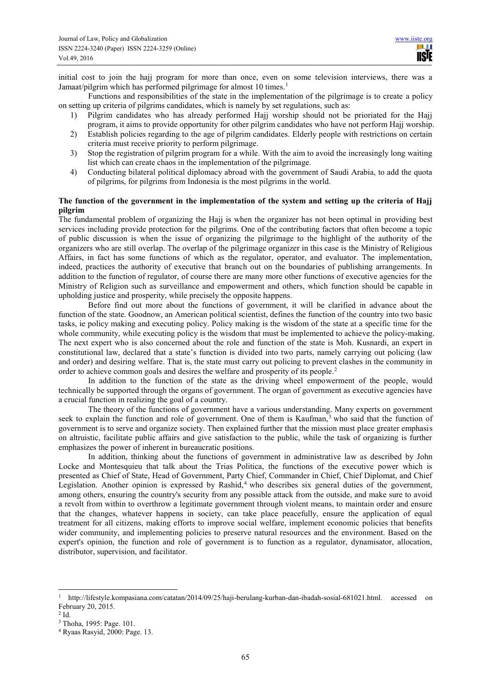initial cost to join the hajj program for more than once, even on some television interviews, there was a Jamaat/pilgrim which has performed pilgrimage for almost 10 times.<sup>1</sup>

Functions and responsibilities of the state in the implementation of the pilgrimage is to create a policy on setting up criteria of pilgrims candidates, which is namely by set regulations, such as:

- 1) Pilgrim candidates who has already performed Hajj worship should not be prioriated for the Hajj program, it aims to provide opportunity for other pilgrim candidates who have not perform Hajj worship.
- 2) Establish policies regarding to the age of pilgrim candidates. Elderly people with restrictions on certain criteria must receive priority to perform pilgrimage.
- 3) Stop the registration of pilgrim program for a while. With the aim to avoid the increasingly long waiting list which can create chaos in the implementation of the pilgrimage.
- 4) Conducting bilateral political diplomacy abroad with the government of Saudi Arabia, to add the quota of pilgrims, for pilgrims from Indonesia is the most pilgrims in the world.

# **The function of the government in the implementation of the system and setting up the criteria of Hajj pilgrim**

The fundamental problem of organizing the Hajj is when the organizer has not been optimal in providing best services including provide protection for the pilgrims. One of the contributing factors that often become a topic of public discussion is when the issue of organizing the pilgrimage to the highlight of the authority of the organizers who are still overlap. The overlap of the pilgrimage organizer in this case is the Ministry of Religious Affairs, in fact has some functions of which as the regulator, operator, and evaluator. The implementation, indeed, practices the authority of executive that branch out on the boundaries of publishing arrangements. In addition to the function of regulator, of course there are many more other functions of executive agencies for the Ministry of Religion such as surveillance and empowerment and others, which function should be capable in upholding justice and prosperity, while precisely the opposite happens.

Before find out more about the functions of government, it will be clarified in advance about the function of the state. Goodnow, an American political scientist, defines the function of the country into two basic tasks, ie policy making and executing policy. Policy making is the wisdom of the state at a specific time for the whole community, while executing policy is the wisdom that must be implemented to achieve the policy-making. The next expert who is also concerned about the role and function of the state is Moh. Kusnardi, an expert in constitutional law, declared that a state's function is divided into two parts, namely carrying out policing (law and order) and desiring welfare. That is, the state must carry out policing to prevent clashes in the community in order to achieve common goals and desires the welfare and prosperity of its people.<sup>2</sup>

In addition to the function of the state as the driving wheel empowerment of the people, would technically be supported through the organs of government. The organ of government as executive agencies have a crucial function in realizing the goal of a country.

The theory of the functions of government have a various understanding. Many experts on government seek to explain the function and role of government. One of them is Kaufman,<sup>3</sup> who said that the function of government is to serve and organize society. Then explained further that the mission must place greater emphasis on altruistic, facilitate public affairs and give satisfaction to the public, while the task of organizing is further emphasizes the power of inherent in bureaucratic positions.

In addition, thinking about the functions of government in administrative law as described by John Locke and Montesquieu that talk about the Trias Politica, the functions of the executive power which is presented as Chief of State, Head of Government, Party Chief, Commander in Chief, Chief Diplomat, and Chief Legislation. Another opinion is expressed by Rashid,<sup>4</sup> who describes six general duties of the government, among others, ensuring the country's security from any possible attack from the outside, and make sure to avoid a revolt from within to overthrow a legitimate government through violent means, to maintain order and ensure that the changes, whatever happens in society, can take place peacefully, ensure the application of equal treatment for all citizens, making efforts to improve social welfare, implement economic policies that benefits wider community, and implementing policies to preserve natural resources and the environment. Based on the expert's opinion, the function and role of government is to function as a regulator, dynamisator, allocation, distributor, supervision, and facilitator.

 $\overline{a}$ 

<sup>1</sup> http://lifestyle.kompasiana.com/catatan/2014/09/25/haji-berulang-kurban-dan-ibadah-sosial-681021.html. accessed on February 20, 2015.

 $2$  Id.

<sup>3</sup> Thoha, 1995: Page. 101.

<sup>4</sup> Ryaas Rasyid, 2000: Page. 13.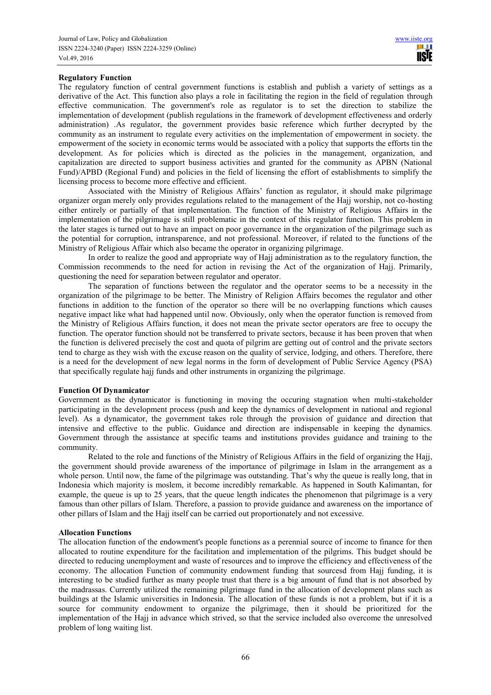# **Regulatory Function**

The regulatory function of central government functions is establish and publish a variety of settings as a derivative of the Act. This function also plays a role in facilitating the region in the field of regulation through effective communication. The government's role as regulator is to set the direction to stabilize the implementation of development (publish regulations in the framework of development effectiveness and orderly administration) .As regulator, the government provides basic reference which further decrypted by the community as an instrument to regulate every activities on the implementation of empowerment in society. the empowerment of the society in economic terms would be associated with a policy that supports the efforts tin the development. As for policies which is directed as the policies in the management, organization, and capitalization are directed to support business activities and granted for the community as APBN (National Fund)/APBD (Regional Fund) and policies in the field of licensing the effort of establishments to simplify the licensing process to become more effective and efficient.

Associated with the Ministry of Religious Affairs' function as regulator, it should make pilgrimage organizer organ merely only provides regulations related to the management of the Hajj worship, not co-hosting either entirely or partially of that implementation. The function of the Ministry of Religious Affairs in the implementation of the pilgrimage is still problematic in the context of this regulator function. This problem in the later stages is turned out to have an impact on poor governance in the organization of the pilgrimage such as the potential for corruption, intransparence, and not professional. Moreover, if related to the functions of the Ministry of Religious Affair which also became the operator in organizing pilgrimage.

In order to realize the good and appropriate way of Hajj administration as to the regulatory function, the Commission recommends to the need for action in revising the Act of the organization of Hajj. Primarily, questioning the need for separation between regulator and operator.

The separation of functions between the regulator and the operator seems to be a necessity in the organization of the pilgrimage to be better. The Ministry of Religion Affairs becomes the regulator and other functions in addition to the function of the operator so there will be no overlapping functions which causes negative impact like what had happened until now. Obviously, only when the operator function is removed from the Ministry of Religious Affairs function, it does not mean the private sector operators are free to occupy the function. The operator function should not be transferred to private sectors, because it has been proven that when the function is delivered precisely the cost and quota of pilgrim are getting out of control and the private sectors tend to charge as they wish with the excuse reason on the quality of service, lodging, and others. Therefore, there is a need for the development of new legal norms in the form of development of Public Service Agency (PSA) that specifically regulate hajj funds and other instruments in organizing the pilgrimage.

#### **Function Of Dynamicator**

Government as the dynamicator is functioning in moving the occuring stagnation when multi-stakeholder participating in the development process (push and keep the dynamics of development in national and regional level). As a dynamicator, the government takes role through the provision of guidance and direction that intensive and effective to the public. Guidance and direction are indispensable in keeping the dynamics. Government through the assistance at specific teams and institutions provides guidance and training to the community.

Related to the role and functions of the Ministry of Religious Affairs in the field of organizing the Hajj, the government should provide awareness of the importance of pilgrimage in Islam in the arrangement as a whole person. Until now, the fame of the pilgrimage was outstanding. That's why the queue is really long, that in Indonesia which majority is moslem, it become incredibly remarkable. As happened in South Kalimantan, for example, the queue is up to 25 years, that the queue length indicates the phenomenon that pilgrimage is a very famous than other pillars of Islam. Therefore, a passion to provide guidance and awareness on the importance of other pillars of Islam and the Hajj itself can be carried out proportionately and not excessive.

#### **Allocation Functions**

The allocation function of the endowment's people functions as a perennial source of income to finance for then allocated to routine expenditure for the facilitation and implementation of the pilgrims. This budget should be directed to reducing unemployment and waste of resources and to improve the efficiency and effectiveness of the economy. The allocation Function of community endowment funding that sourcesd from Hajj funding, it is interesting to be studied further as many people trust that there is a big amount of fund that is not absorbed by the madrassas. Currently utilized the remaining pilgrimage fund in the allocation of development plans such as buildings at the Islamic universities in Indonesia. The allocation of these funds is not a problem, but if it is a source for community endowment to organize the pilgrimage, then it should be prioritized for the implementation of the Hajj in advance which strived, so that the service included also overcome the unresolved problem of long waiting list.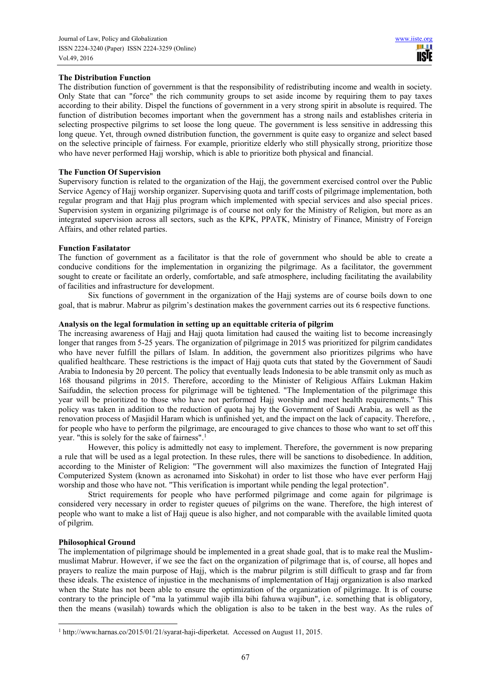# **The Distribution Function**

The distribution function of government is that the responsibility of redistributing income and wealth in society. Only State that can "force" the rich community groups to set aside income by requiring them to pay taxes according to their ability. Dispel the functions of government in a very strong spirit in absolute is required. The function of distribution becomes important when the government has a strong nails and establishes criteria in selecting prospective pilgrims to set loose the long queue. The government is less sensitive in addressing this long queue. Yet, through owned distribution function, the government is quite easy to organize and select based on the selective principle of fairness. For example, prioritize elderly who still physically strong, prioritize those who have never performed Hajj worship, which is able to prioritize both physical and financial.

#### **The Function Of Supervision**

Supervisory function is related to the organization of the Hajj, the government exercised control over the Public Service Agency of Hajj worship organizer. Supervising quota and tariff costs of pilgrimage implementation, both regular program and that Hajj plus program which implemented with special services and also special prices. Supervision system in organizing pilgrimage is of course not only for the Ministry of Religion, but more as an integrated supervision across all sectors, such as the KPK, PPATK, Ministry of Finance, Ministry of Foreign Affairs, and other related parties.

#### **Function Fasilatator**

The function of government as a facilitator is that the role of government who should be able to create a conducive conditions for the implementation in organizing the pilgrimage. As a facilitator, the government sought to create or facilitate an orderly, comfortable, and safe atmosphere, including facilitating the availability of facilities and infrastructure for development.

Six functions of government in the organization of the Hajj systems are of course boils down to one goal, that is mabrur. Mabrur as pilgrim's destination makes the government carries out its 6 respective functions.

#### **Analysis on the legal formulation in setting up an equittable criteria of pilgrim**

The increasing awareness of Hajj and Hajj quota limitation had caused the waiting list to become increasingly longer that ranges from 5-25 years. The organization of pilgrimage in 2015 was prioritized for pilgrim candidates who have never fulfill the pillars of Islam. In addition, the government also prioritizes pilgrims who have qualified healthcare. These restrictions is the impact of Hajj quota cuts that stated by the Government of Saudi Arabia to Indonesia by 20 percent. The policy that eventually leads Indonesia to be able transmit only as much as 168 thousand pilgrims in 2015. Therefore, according to the Minister of Religious Affairs Lukman Hakim Saifuddin, the selection process for pilgrimage will be tightened. "The Implementation of the pilgrimage this year will be prioritized to those who have not performed Hajj worship and meet health requirements." This policy was taken in addition to the reduction of quota haj by the Government of Saudi Arabia, as well as the renovation process of Masjidil Haram which is unfinished yet, and the impact on the lack of capacity. Therefore, , for people who have to perform the pilgrimage, are encouraged to give chances to those who want to set off this year. "this is solely for the sake of fairness".<sup>1</sup>

However, this policy is admittedly not easy to implement. Therefore, the government is now preparing a rule that will be used as a legal protection. In these rules, there will be sanctions to disobedience. In addition, according to the Minister of Religion: "The government will also maximizes the function of Integrated Hajj Computerized System (known as acronamed into Siskohat) in order to list those who have ever perform Hajj worship and those who have not. "This verification is important while pending the legal protection".

Strict requirements for people who have performed pilgrimage and come again for pilgrimage is considered very necessary in order to register queues of pilgrims on the wane. Therefore, the high interest of people who want to make a list of Hajj queue is also higher, and not comparable with the available limited quota of pilgrim.

# **Philosophical Ground**

 $\overline{a}$ 

The implementation of pilgrimage should be implemented in a great shade goal, that is to make real the Muslimmuslimat Mabrur. However, if we see the fact on the organization of pilgrimage that is, of course, all hopes and prayers to realize the main purpose of Hajj, which is the mabrur pilgrim is still difficult to grasp and far from these ideals. The existence of injustice in the mechanisms of implementation of Hajj organization is also marked when the State has not been able to ensure the optimization of the organization of pilgrimage. It is of course contrary to the principle of "ma la yatimmul wajib illa bihi fahuwa wajibun", i.e. something that is obligatory, then the means (wasilah) towards which the obligation is also to be taken in the best way. As the rules of

<sup>&</sup>lt;sup>1</sup> http://www.harnas.co/2015/01/21/syarat-haji-diperketat. Accessed on August 11, 2015.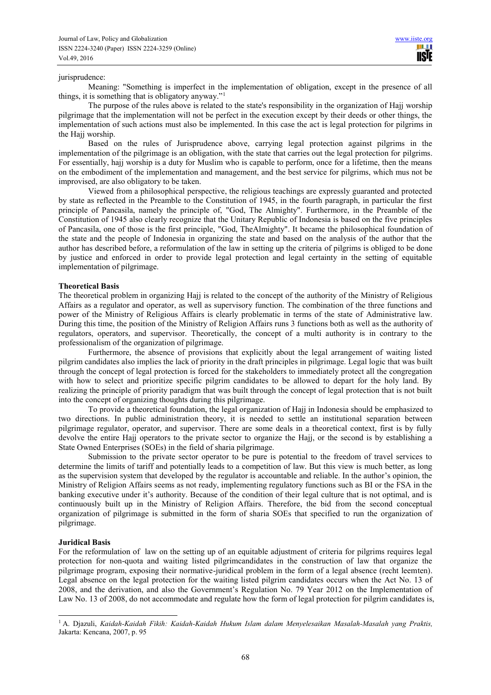#### jurisprudence:

Meaning: "Something is imperfect in the implementation of obligation, except in the presence of all things, it is something that is obligatory anyway."<sup>1</sup>

The purpose of the rules above is related to the state's responsibility in the organization of Hajj worship pilgrimage that the implementation will not be perfect in the execution except by their deeds or other things, the implementation of such actions must also be implemented. In this case the act is legal protection for pilgrims in the Hajj worship.

Based on the rules of Jurisprudence above, carrying legal protection against pilgrims in the implementation of the pilgrimage is an obligation, with the state that carries out the legal protection for pilgrims. For essentially, hajj worship is a duty for Muslim who is capable to perform, once for a lifetime, then the means on the embodiment of the implementation and management, and the best service for pilgrims, which mus not be improvised, are also obligatory to be taken.

Viewed from a philosophical perspective, the religious teachings are expressly guaranted and protected by state as reflected in the Preamble to the Constitution of 1945, in the fourth paragraph, in particular the first principle of Pancasila, namely the principle of, "God, The Almighty". Furthermore, in the Preamble of the Constitution of 1945 also clearly recognize that the Unitary Republic of Indonesia is based on the five principles of Pancasila, one of those is the first principle, "God, TheAlmighty". It became the philosophical foundation of the state and the people of Indonesia in organizing the state and based on the analysis of the author that the author has described before, a reformulation of the law in setting up the criteria of pilgrims is obliged to be done by justice and enforced in order to provide legal protection and legal certainty in the setting of equitable implementation of pilgrimage.

#### **Theoretical Basis**

The theoretical problem in organizing Hajj is related to the concept of the authority of the Ministry of Religious Affairs as a regulator and operator, as well as supervisory function. The combination of the three functions and power of the Ministry of Religious Affairs is clearly problematic in terms of the state of Administrative law. During this time, the position of the Ministry of Religion Affairs runs 3 functions both as well as the authority of regulators, operators, and supervisor. Theoretically, the concept of a multi authority is in contrary to the professionalism of the organization of pilgrimage.

Furthermore, the absence of provisions that explicitly about the legal arrangement of waiting listed pilgrim candidates also implies the lack of priority in the draft principles in pilgrimage. Legal logic that was built through the concept of legal protection is forced for the stakeholders to immediately protect all the congregation with how to select and prioritize specific pilgrim candidates to be allowed to depart for the holy land. By realizing the principle of priority paradigm that was built through the concept of legal protection that is not built into the concept of organizing thoughts during this pilgrimage.

To provide a theoretical foundation, the legal organization of Hajj in Indonesia should be emphasized to two directions. In public administration theory, it is needed to settle an institutional separation between pilgrimage regulator, operator, and supervisor. There are some deals in a theoretical context, first is by fully devolve the entire Hajj operators to the private sector to organize the Hajj, or the second is by establishing a State Owned Enterprises (SOEs) in the field of sharia pilgrimage.

Submission to the private sector operator to be pure is potential to the freedom of travel services to determine the limits of tariff and potentially leads to a competition of law. But this view is much better, as long as the supervision system that developed by the regulator is accountable and reliable. In the author's opinion, the Ministry of Religion Affairs seems as not ready, implementing regulatory functions such as BI or the FSA in the banking executive under it's authority. Because of the condition of their legal culture that is not optimal, and is continuously built up in the Ministry of Religion Affairs. Therefore, the bid from the second conceptual organization of pilgrimage is submitted in the form of sharia SOEs that specified to run the organization of pilgrimage.

#### **Juridical Basis**

For the reformulation of law on the setting up of an equitable adjustment of criteria for pilgrims requires legal protection for non-quota and waiting listed pilgrimcandidates in the construction of law that organize the pilgrimage program, exposing their normative-juridical problem in the form of a legal absence (recht leemten). Legal absence on the legal protection for the waiting listed pilgrim candidates occurs when the Act No. 13 of 2008, and the derivation, and also the Government's Regulation No. 79 Year 2012 on the Implementation of Law No. 13 of 2008, do not accommodate and regulate how the form of legal protection for pilgrim candidates is,

 1 A. Djazuli, *Kaidah-Kaidah Fikih: Kaidah-Kaidah Hukum Islam dalam Menyelesaikan Masalah-Masalah yang Praktis,*  Jakarta: Kencana, 2007, p. 95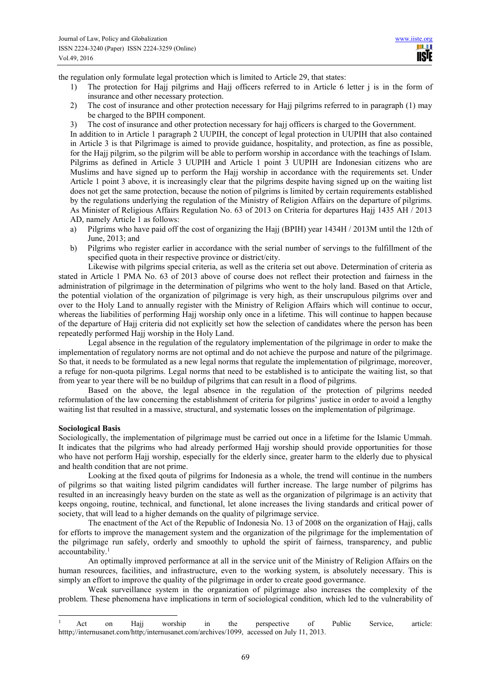**USE** 

the regulation only formulate legal protection which is limited to Article 29, that states:

- 1) The protection for Hajj pilgrims and Hajj officers referred to in Article 6 letter j is in the form of insurance and other necessary protection.
- 2) The cost of insurance and other protection necessary for Hajj pilgrims referred to in paragraph (1) may be charged to the BPIH component.
- 3) The cost of insurance and other protection necessary for hajj officers is charged to the Government.

In addition to in Article 1 paragraph 2 UUPIH, the concept of legal protection in UUPIH that also contained in Article 3 is that Pilgrimage is aimed to provide guidance, hospitality, and protection, as fine as possible, for the Hajj pilgrim, so the pilgrim will be able to perform worship in accordance with the teachings of Islam. Pilgrims as defined in Article 3 UUPIH and Article 1 point 3 UUPIH are Indonesian citizens who are Muslims and have signed up to perform the Hajj worship in accordance with the requirements set. Under Article 1 point 3 above, it is increasingly clear that the pilgrims despite having signed up on the waiting list does not get the same protection, because the notion of pilgrims is limited by certain requirements established by the regulations underlying the regulation of the Ministry of Religion Affairs on the departure of pilgrims. As Minister of Religious Affairs Regulation No. 63 of 2013 on Criteria for departures Hajj 1435 AH / 2013 AD, namely Article 1 as follows:

- a) Pilgrims who have paid off the cost of organizing the Hajj (BPIH) year 1434H / 2013M until the 12th of June, 2013; and
- b) Pilgrims who register earlier in accordance with the serial number of servings to the fulfillment of the specified quota in their respective province or district/city.

Likewise with pilgrims special criteria, as well as the criteria set out above. Determination of criteria as stated in Article 1 PMA No. 63 of 2013 above of course does not reflect their protection and fairness in the administration of pilgrimage in the determination of pilgrims who went to the holy land. Based on that Article, the potential violation of the organization of pilgrimage is very high, as their unscrupulous pilgrims over and over to the Holy Land to annually register with the Ministry of Religion Affairs which will continue to occur, whereas the liabilities of performing Hajj worship only once in a lifetime. This will continue to happen because of the departure of Hajj criteria did not explicitly set how the selection of candidates where the person has been repeatedly performed Hajj worship in the Holy Land.

Legal absence in the regulation of the regulatory implementation of the pilgrimage in order to make the implementation of regulatory norms are not optimal and do not achieve the purpose and nature of the pilgrimage. So that, it needs to be formulated as a new legal norms that regulate the implementation of pilgrimage, moreover, a refuge for non-quota pilgrims. Legal norms that need to be established is to anticipate the waiting list, so that from year to year there will be no buildup of pilgrims that can result in a flood of pilgrims.

Based on the above, the legal absence in the regulation of the protection of pilgrims needed reformulation of the law concerning the establishment of criteria for pilgrims' justice in order to avoid a lengthy waiting list that resulted in a massive, structural, and systematic losses on the implementation of pilgrimage.

#### **Sociological Basis**

 $\overline{a}$ 

Sociologically, the implementation of pilgrimage must be carried out once in a lifetime for the Islamic Ummah. It indicates that the pilgrims who had already performed Hajj worship should provide opportunities for those who have not perform Hajj worship, especially for the elderly since, greater harm to the elderly due to physical and health condition that are not prime.

Looking at the fixed qouta of pilgrims for Indonesia as a whole, the trend will continue in the numbers of pilgrims so that waiting listed pilgrim candidates will further increase. The large number of pilgrims has resulted in an increasingly heavy burden on the state as well as the organization of pilgrimage is an activity that keeps ongoing, routine, technical, and functional, let alone increases the living standards and critical power of society, that will lead to a higher demands on the quality of pilgrimage service.

The enactment of the Act of the Republic of Indonesia No. 13 of 2008 on the organization of Hajj, calls for efforts to improve the management system and the organization of the pilgrimage for the implementation of the pilgrimage run safely, orderly and smoothly to uphold the spirit of fairness, transparency, and public accountability.<sup>1</sup>

An optimally improved performance at all in the service unit of the Ministry of Religion Affairs on the human resources, facilities, and infrastructure, even to the working system, is absolutely necessary. This is simply an effort to improve the quality of the pilgrimage in order to create good govermance.

Weak surveillance system in the organization of pilgrimage also increases the complexity of the problem. These phenomena have implications in term of sociological condition, which led to the vulnerability of

<sup>&</sup>lt;sup>1</sup> Act on Hajj worship in the perspective of Public Service, article: htttp;//internusanet.com/http;/internusanet.com/archives/1099, accessed on July 11, 2013.